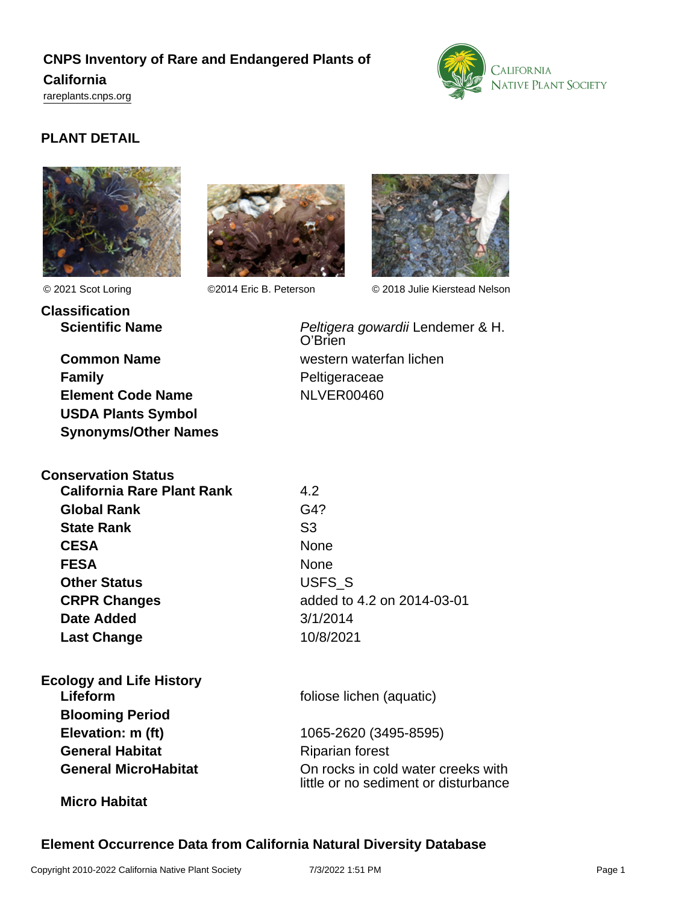# **CNPS Inventory of Rare and Endangered Plants of California**

<rareplants.cnps.org>



# **PLANT DETAIL**





O'Brien

**Classification Scientific Name Peltigera gowardii Lendemer & H.** 



© 2021 Scot Loring ©2014 Eric B. Peterson © 2018 Julie Kierstead Nelson

**Common Name** Western waterfan lichen **Family** Peltigeraceae **Element Code Name** NLVER00460 **USDA Plants Symbol Synonyms/Other Names**

**Conservation Status California Rare Plant Rank** 4.2 **Global Rank** G4? **State Rank** S3 CESA None **FESA** None **Other Status** USFS S **CRPR Changes** added to 4.2 on 2014-03-01 **Date Added** 3/1/2014 **Last Change** 10/8/2021

**Ecology and Life History Lifeform** foliose lichen (aquatic) **Blooming Period Elevation: m (ft)** 1065-2620 (3495-8595) **General Habitat** Riparian forest

**General MicroHabitat** On rocks in cold water creeks with little or no sediment or disturbance

## **Micro Habitat**

**Element Occurrence Data from California Natural Diversity Database**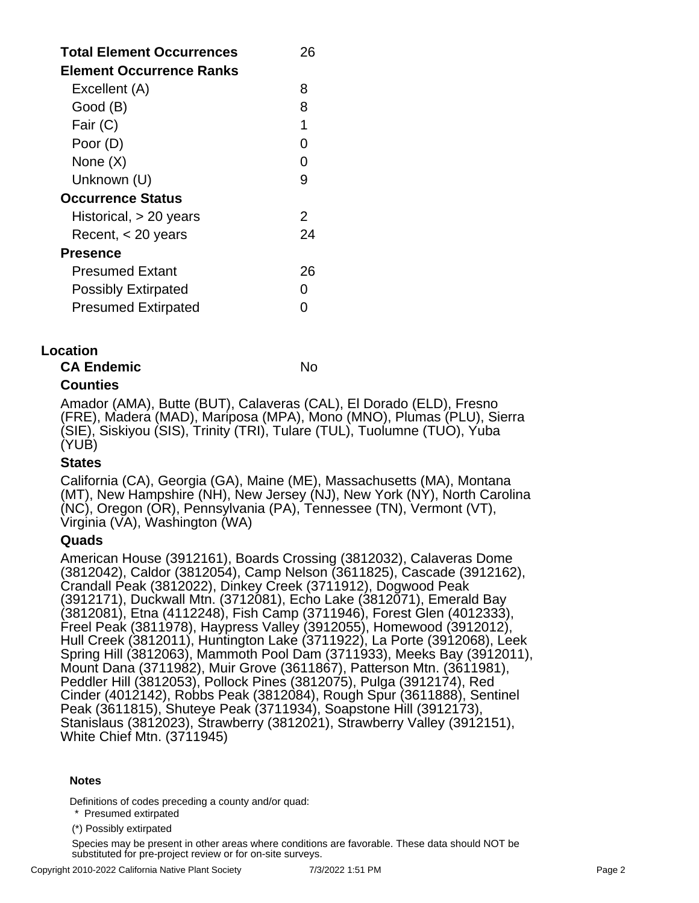| <b>Total Element Occurrences</b><br><b>Element Occurrence Ranks</b> | 26 |
|---------------------------------------------------------------------|----|
| Excellent (A)                                                       | 8  |
| Good (B)                                                            | 8  |
| Fair (C)                                                            | 1  |
| Poor (D)                                                            | O  |
| None (X)                                                            | O  |
| Unknown (U)                                                         | 9  |
| Occurrence Status                                                   |    |
| Historical, > 20 years                                              | 2  |
| Recent, $<$ 20 years                                                | 24 |
| <b>Presence</b>                                                     |    |
| <b>Presumed Extant</b>                                              | 26 |
| <b>Possibly Extirpated</b>                                          |    |
| <b>Presumed Extirpated</b>                                          |    |

### **Location**

| No |
|----|
|    |

## **Counties**

Amador (AMA), Butte (BUT), Calaveras (CAL), El Dorado (ELD), Fresno (FRE), Madera (MAD), Mariposa (MPA), Mono (MNO), Plumas (PLU), Sierra (SIE), Siskiyou (SIS), Trinity (TRI), Tulare (TUL), Tuolumne (TUO), Yuba (YUB)

#### **States**

California (CA), Georgia (GA), Maine (ME), Massachusetts (MA), Montana (MT), New Hampshire (NH), New Jersey (NJ), New York (NY), North Carolina (NC), Oregon (OR), Pennsylvania (PA), Tennessee (TN), Vermont (VT), Virginia (VA), Washington (WA)

#### **Quads**

American House (3912161), Boards Crossing (3812032), Calaveras Dome (3812042), Caldor (3812054), Camp Nelson (3611825), Cascade (3912162), Crandall Peak (3812022), Dinkey Creek (3711912), Dogwood Peak (3912171), Duckwall Mtn. (3712081), Echo Lake (3812071), Emerald Bay (3812081), Etna (4112248), Fish Camp (3711946), Forest Glen (4012333), Freel Peak (3811978), Haypress Valley (3912055), Homewood (3912012), Hull Creek (3812011), Huntington Lake (3711922), La Porte (3912068), Leek Spring Hill (3812063), Mammoth Pool Dam (3711933), Meeks Bay (3912011), Mount Dana (3711982), Muir Grove (3611867), Patterson Mtn. (3611981), Peddler Hill (3812053), Pollock Pines (3812075), Pulga (3912174), Red Cinder (4012142), Robbs Peak (3812084), Rough Spur (3611888), Sentinel Peak (3611815), Shuteye Peak (3711934), Soapstone Hill (3912173), Stanislaus (3812023), Strawberry (3812021), Strawberry Valley (3912151), White Chief Mtn. (3711945)

#### **Notes**

Definitions of codes preceding a county and/or quad:

\* Presumed extirpated

(\*) Possibly extirpated

Species may be present in other areas where conditions are favorable. These data should NOT be substituted for pre-project review or for on-site surveys.